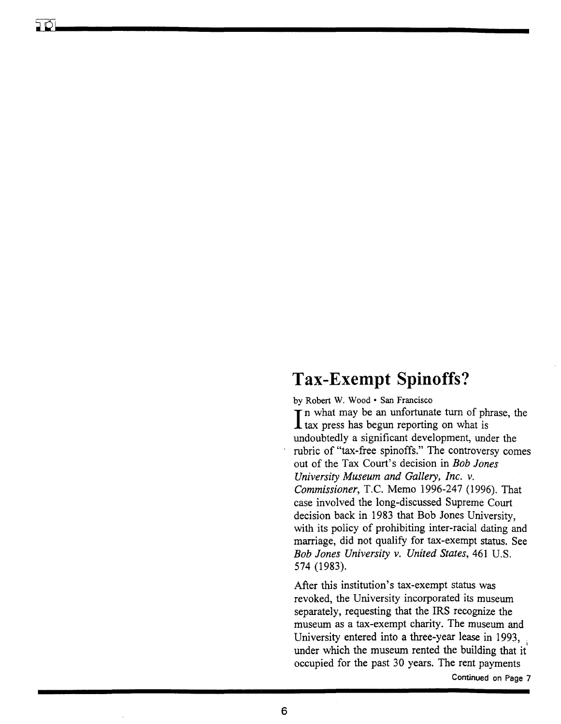# **Tax-Exempt Spinoffs?**

by Robert W. Wood· San Francisco

 $\prod$  n what may be an untortunate turn of ph tax press has begun reporting on what is T n what may be an unfortunate turn of phrase, the undoubtedly a significant development, under the rubric of "tax-free spinoffs." The controversy comes out of the Tax Court's decision in *Bob Jones University Museum and Gallery, Inc.* v. *Commissioner,* T.C. Memo 1996-247 (1996). That case involved the long-discussed Supreme Court decision back in 1983 that Bob Jones University, with its policy of prohibiting inter-racial dating and marriage, did not qualify for tax-exempt status. See *Bob Jones University* v. *United States,* 461 U.S. 574 (1983).

After this institution's tax-exempt status was revoked, the University incorporated its museum separately, requesting that the IRS recognize the museum as a tax-exempt charity. The museum and University entered into a three-year lease in 1993, under which the museum rented the building that it occupied for the past 30 years. The rent payments